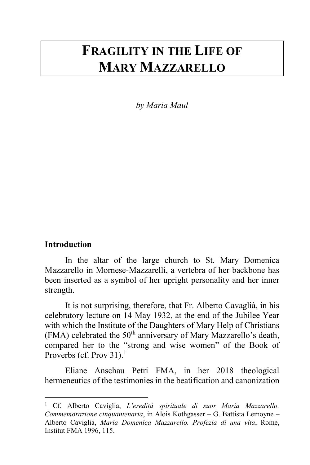# **FRAGILITY IN THE LIFE OF MARY MAZZARELLO**

*by Maria Maul*

#### **Introduction**

 $\overline{a}$ 

In the altar of the large church to St. Mary Domenica Mazzarello in Mornese-Mazzarelli, a vertebra of her backbone has been inserted as a symbol of her upright personality and her inner strength.

It is not surprising, therefore, that Fr. Alberto Cavaglià, in his celebratory lecture on 14 May 1932, at the end of the Jubilee Year with which the Institute of the Daughters of Mary Help of Christians (FMA) celebrated the  $50<sup>th</sup>$  anniversary of Mary Mazzarello's death, compared her to the "strong and wise women" of the Book of Proverbs (cf. Prov 31).<sup>1</sup>

Eliane Anschau Petri FMA, in her 2018 theological hermeneutics of the testimonies in the beatification and canonization

<sup>1</sup> Cf. Alberto Caviglia, *L'eredità spirituale di suor Maria Mazzarello. Commemorazione cinquantenaria*, in Alois Kothgasser – G. Battista Lemoyne – Alberto Caviglià, *Maria Domenica Mazzarello. Profezia di una vita*, Rome, Institut FMA 1996, 115.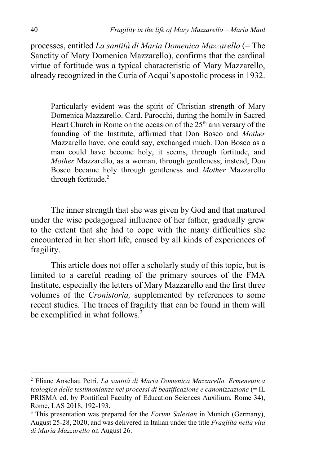processes, entitled *La santità di Maria Domenica Mazzarello* (= The Sanctity of Mary Domenica Mazzarello), confirms that the cardinal virtue of fortitude was a typical characteristic of Mary Mazzarello, already recognized in the Curia of Acqui's apostolic process in 1932.

Particularly evident was the spirit of Christian strength of Mary Domenica Mazzarello. Card. Parocchi, during the homily in Sacred Heart Church in Rome on the occasion of the  $25<sup>th</sup>$  anniversary of the founding of the Institute, affirmed that Don Bosco and *Mother*  Mazzarello have, one could say, exchanged much. Don Bosco as a man could have become holy, it seems, through fortitude, and *Mother* Mazzarello, as a woman, through gentleness; instead, Don Bosco became holy through gentleness and *Mother* Mazzarello through fortitude.<sup>2</sup>

The inner strength that she was given by God and that matured under the wise pedagogical influence of her father, gradually grew to the extent that she had to cope with the many difficulties she encountered in her short life, caused by all kinds of experiences of fragility.

This article does not offer a scholarly study of this topic, but is limited to a careful reading of the primary sources of the FMA Institute, especially the letters of Mary Mazzarello and the first three volumes of the *Cronistoria,* supplemented by references to some recent studies. The traces of fragility that can be found in them will be exemplified in what follows.<sup>3</sup>

<sup>2</sup> Eliane Anschau Petri, *La santità di Maria Domenica Mazzarello. Ermeneutica teologica delle testimonianze nei processi di beatificazione e canonizzazione* (= IL PRISMA ed. by Pontifical Faculty of Education Sciences Auxilium, Rome 34), Rome, LAS 2018, 192-193.

<sup>3</sup> This presentation was prepared for the *Forum Salesian* in Munich (Germany), August 25-28, 2020, and was delivered in Italian under the title *Fragilità nella vita di Maria Mazzarello* on August 26.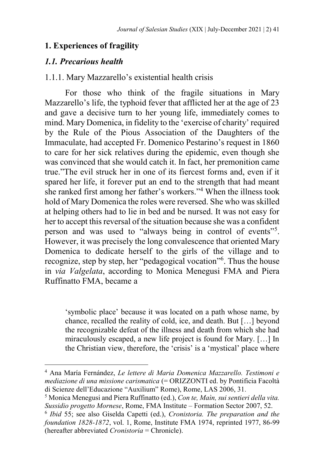## **1. Experiences of fragility**

#### *1.1. Precarious health*

 $\ddot{\phantom{a}}$ 

## 1.1.1. Mary Mazzarello's existential health crisis

For those who think of the fragile situations in Mary Mazzarello's life, the typhoid fever that afflicted her at the age of 23 and gave a decisive turn to her young life, immediately comes to mind. Mary Domenica, in fidelity to the 'exercise of charity' required by the Rule of the Pious Association of the Daughters of the Immaculate, had accepted Fr. Domenico Pestarino's request in 1860 to care for her sick relatives during the epidemic, even though she was convinced that she would catch it. In fact, her premonition came true."The evil struck her in one of its fiercest forms and, even if it spared her life, it forever put an end to the strength that had meant she ranked first among her father's workers."<sup>4</sup> When the illness took hold of Mary Domenica the roles were reversed. She who was skilled at helping others had to lie in bed and be nursed. It was not easy for her to accept this reversal of the situation because she was a confident person and was used to "always being in control of events"<sup>5</sup>. However, it was precisely the long convalescence that oriented Mary Domenica to dedicate herself to the girls of the village and to recognize, step by step, her "pedagogical vocation"<sup>6</sup>. Thus the house in *via Valgelata*, according to Monica Menegusi FMA and Piera Ruffinatto FMA, became a

'symbolic place' because it was located on a path whose name, by chance, recalled the reality of cold, ice, and death. But […] beyond the recognizable defeat of the illness and death from which she had miraculously escaped, a new life project is found for Mary. […] In the Christian view, therefore, the 'crisis' is a 'mystical' place where

<sup>4</sup> Ana María Fernández, *Le lettere di Maria Domenica Mazzarello. Testimoni e mediazione di una missione carismatica* (= ORIZZONTI ed. by Pontificia Facoltà di Scienze dell'Educazione "Auxilium" Rome), Rome, LAS 2006, 31*.*

<sup>5</sup> Monica Menegusi and Piera Ruffinatto (ed.), *Con te, Maìn, sui sentieri della vita. Sussidio progetto Mornese*, Rome, FMA Institute – Formation Sector 2007, 52.

<sup>6</sup> *Ibid* 55; see also Giselda Capetti (ed.), *Cronistoria. The preparation and the foundation 1828-1872*, vol. 1, Rome, Institute FMA 1974, reprinted 1977, 86-99 (hereafter abbreviated *Cronistoria* = Chronicle).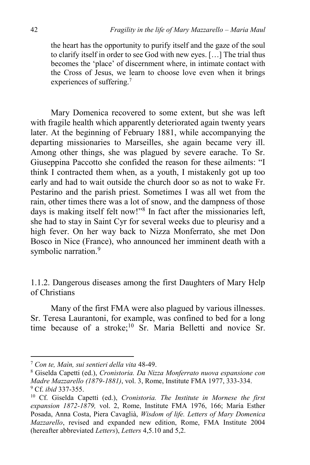the heart has the opportunity to purify itself and the gaze of the soul to clarify itself in order to see God with new eyes. […] The trial thus becomes the 'place' of discernment where, in intimate contact with the Cross of Jesus, we learn to choose love even when it brings experiences of suffering.<sup>7</sup>

Mary Domenica recovered to some extent, but she was left with fragile health which apparently deteriorated again twenty years later. At the beginning of February 1881, while accompanying the departing missionaries to Marseilles, she again became very ill. Among other things, she was plagued by severe earache. To Sr. Giuseppina Paccotto she confided the reason for these ailments: "I think I contracted them when, as a youth, I mistakenly got up too early and had to wait outside the church door so as not to wake Fr. Pestarino and the parish priest. Sometimes I was all wet from the rain, other times there was a lot of snow, and the dampness of those days is making itself felt now!"<sup>8</sup> In fact after the missionaries left, she had to stay in Saint Cyr for several weeks due to pleurisy and a high fever. On her way back to Nizza Monferrato, she met Don Bosco in Nice (France), who announced her imminent death with a symbolic narration.<sup>9</sup>

1.1.2. Dangerous diseases among the first Daughters of Mary Help of Christians

Many of the first FMA were also plagued by various illnesses. Sr. Teresa Laurantoni, for example, was confined to bed for a long time because of a stroke;<sup>10</sup> Sr. Maria Belletti and novice Sr.

<sup>7</sup> *Con te, Maìn, sui sentieri della vita* 48-49.

<sup>8</sup> Giselda Capetti (ed.), *Cronistoria. Da Nizza Monferrato nuova espansione con Madre Mazzarello (1879-1881)*, vol. 3, Rome, Institute FMA 1977, 333-334. <sup>9</sup> Cf. *ibid* 337-355.

<sup>10</sup> Cf. Giselda Capetti (ed.), *Cronistoria. The Institute in Mornese the first expansion 1872-1879,* vol. 2, Rome, Institute FMA 1976, 166; María Esther Posada, Anna Costa, Piera Cavaglià, *Wisdom of life. Letters of Mary Domenica Mazzarello*, revised and expanded new edition, Rome, FMA Institute 2004 (hereafter abbreviated *Letters*), *Letters* 4,5.10 and 5,2.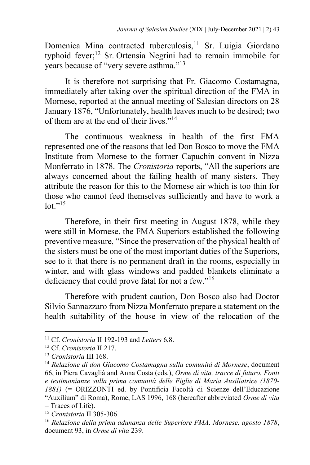Domenica Mina contracted tuberculosis, <sup>11</sup> Sr. Luigia Giordano typhoid fever;<sup>12</sup> Sr. Ortensia Negrini had to remain immobile for years because of "very severe asthma."<sup>13</sup>

It is therefore not surprising that Fr. Giacomo Costamagna, immediately after taking over the spiritual direction of the FMA in Mornese, reported at the annual meeting of Salesian directors on 28 January 1876, "Unfortunately, health leaves much to be desired; two of them are at the end of their lives."<sup>14</sup>

The continuous weakness in health of the first FMA represented one of the reasons that led Don Bosco to move the FMA Institute from Mornese to the former Capuchin convent in Nizza Monferrato in 1878. The *Cronistoria* reports, "All the superiors are always concerned about the failing health of many sisters. They attribute the reason for this to the Mornese air which is too thin for those who cannot feed themselves sufficiently and have to work a  $\ln 15$ 

Therefore, in their first meeting in August 1878, while they were still in Mornese, the FMA Superiors established the following preventive measure, "Since the preservation of the physical health of the sisters must be one of the most important duties of the Superiors, see to it that there is no permanent draft in the rooms, especially in winter, and with glass windows and padded blankets eliminate a deficiency that could prove fatal for not a few."<sup>16</sup>

Therefore with prudent caution, Don Bosco also had Doctor Silvio Sannazzaro from Nizza Monferrato prepare a statement on the health suitability of the house in view of the relocation of the

<sup>11</sup> Cf. *Cronistoria* II 192-193 and *Letters* 6,8.

<sup>12</sup> Cf. *Cronistoria* II 217.

<sup>13</sup> *Cronistoria* III 168.

<sup>14</sup> *Relazione di don Giacomo Costamagna sulla comunità di Mornese*, document 66, in Piera Cavaglià and Anna Costa (eds.), *Orme di vita, tracce di futuro. Fonti e testimonianze sulla prima comunità delle Figlie di Maria Ausiliatrice (1870- 1881)* (= ORIZZONTI ed. by Pontificia Facoltà di Scienze dell'Educazione "Auxilium" di Roma), Rome, LAS 1996, 168 (hereafter abbreviated *Orme di vita*   $=$  Traces of Life).

<sup>15</sup> *Cronistoria* II 305-306.

<sup>16</sup> *Relazione della prima adunanza delle Superiore FMA, Mornese, agosto 1878*, document 93, in *Orme di vita* 239.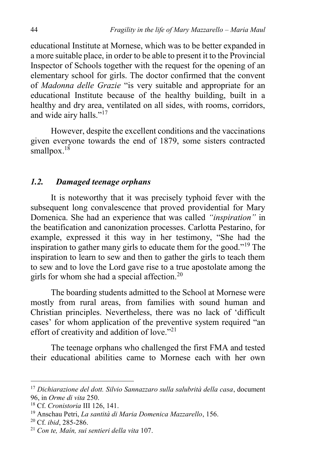educational Institute at Mornese, which was to be better expanded in a more suitable place, in order to be able to present it to the Provincial Inspector of Schools together with the request for the opening of an elementary school for girls. The doctor confirmed that the convent of *Madonna delle Grazie* "is very suitable and appropriate for an educational Institute because of the healthy building, built in a healthy and dry area, ventilated on all sides, with rooms, corridors, and wide airy halls."<sup>17</sup>

However, despite the excellent conditions and the vaccinations given everyone towards the end of 1879, some sisters contracted smallpox. $18$ 

## *1.2. Damaged teenage orphans*

It is noteworthy that it was precisely typhoid fever with the subsequent long convalescence that proved providential for Mary Domenica. She had an experience that was called *"inspiration"* in the beatification and canonization processes. Carlotta Pestarino, for example, expressed it this way in her testimony, "She had the inspiration to gather many girls to educate them for the good."<sup>19</sup> The inspiration to learn to sew and then to gather the girls to teach them to sew and to love the Lord gave rise to a true apostolate among the girls for whom she had a special affection.<sup>20</sup>

The boarding students admitted to the School at Mornese were mostly from rural areas, from families with sound human and Christian principles. Nevertheless, there was no lack of 'difficult cases' for whom application of the preventive system required "an effort of creativity and addition of love."<sup>21</sup>

The teenage orphans who challenged the first FMA and tested their educational abilities came to Mornese each with her own

 $\ddot{\phantom{a}}$ 

<sup>17</sup> *Dichiarazione del dott. Silvio Sannazzaro sulla salubrità della casa*, document 96, in *Orme di vita* 250.

<sup>18</sup> Cf. *Cronistoria* III 126, 141.

<sup>19</sup> Anschau Petri, *La santità di Maria Domenica Mazzarello*, 156.

<sup>20</sup> Cf. *ibid*, 285-286.

<sup>21</sup> *Con te, Maín, sui sentieri della vita* 107.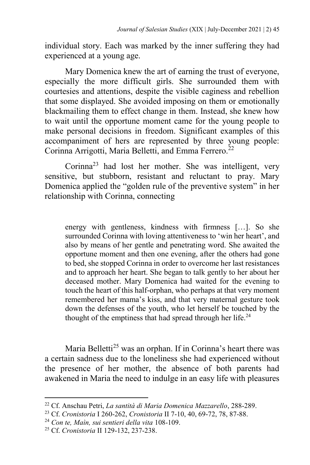individual story. Each was marked by the inner suffering they had experienced at a young age.

Mary Domenica knew the art of earning the trust of everyone, especially the more difficult girls. She surrounded them with courtesies and attentions, despite the visible caginess and rebellion that some displayed. She avoided imposing on them or emotionally blackmailing them to effect change in them. Instead, she knew how to wait until the opportune moment came for the young people to make personal decisions in freedom. Significant examples of this accompaniment of hers are represented by three young people: Corinna Arrigotti, Maria Belletti, and Emma Ferrero.<sup>22</sup>

Corinna<sup>23</sup> had lost her mother. She was intelligent, very sensitive, but stubborn, resistant and reluctant to pray. Mary Domenica applied the "golden rule of the preventive system" in her relationship with Corinna, connecting

energy with gentleness, kindness with firmness […]. So she surrounded Corinna with loving attentiveness to 'win her heart', and also by means of her gentle and penetrating word. She awaited the opportune moment and then one evening, after the others had gone to bed, she stopped Corinna in order to overcome her last resistances and to approach her heart. She began to talk gently to her about her deceased mother. Mary Domenica had waited for the evening to touch the heart of this half-orphan, who perhaps at that very moment remembered her mama's kiss, and that very maternal gesture took down the defenses of the youth, who let herself be touched by the thought of the emptiness that had spread through her life.<sup>24</sup>

Maria Belletti<sup>25</sup> was an orphan. If in Corinna's heart there was a certain sadness due to the loneliness she had experienced without the presence of her mother, the absence of both parents had awakened in Maria the need to indulge in an easy life with pleasures

<sup>22</sup> Cf. Anschau Petri, *La santità di Maria Domenica Mazzarello*, 288-289.

<sup>23</sup> Cf. *Cronistoria* I 260-262, *Cronistoria* II 7-10, 40, 69-72, 78, 87-88.

<sup>24</sup> *Con te, Maìn, sui sentieri della vita* 108-109.

<sup>25</sup> Cf. *Cronistoria* II 129-132, 237-238.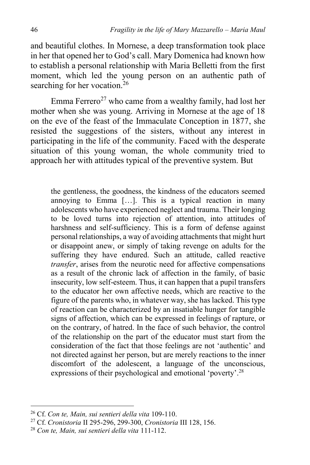and beautiful clothes. In Mornese, a deep transformation took place in her that opened her to God's call. Mary Domenica had known how to establish a personal relationship with Maria Belletti from the first moment, which led the young person on an authentic path of searching for her vocation.<sup>26</sup>

Emma Ferrero<sup>27</sup> who came from a wealthy family, had lost her mother when she was young. Arriving in Mornese at the age of 18 on the eve of the feast of the Immaculate Conception in 1877, she resisted the suggestions of the sisters, without any interest in participating in the life of the community. Faced with the desperate situation of this young woman, the whole community tried to approach her with attitudes typical of the preventive system. But

the gentleness, the goodness, the kindness of the educators seemed annoying to Emma […]. This is a typical reaction in many adolescents who have experienced neglect and trauma. Their longing to be loved turns into rejection of attention, into attitudes of harshness and self-sufficiency. This is a form of defense against personal relationships, a way of avoiding attachments that might hurt or disappoint anew, or simply of taking revenge on adults for the suffering they have endured. Such an attitude, called reactive *transfer*, arises from the neurotic need for affective compensations as a result of the chronic lack of affection in the family, of basic insecurity, low self-esteem. Thus, it can happen that a pupil transfers to the educator her own affective needs, which are reactive to the figure of the parents who, in whatever way, she has lacked. This type of reaction can be characterized by an insatiable hunger for tangible signs of affection, which can be expressed in feelings of rapture, or on the contrary, of hatred. In the face of such behavior, the control of the relationship on the part of the educator must start from the consideration of the fact that those feelings are not 'authentic' and not directed against her person, but are merely reactions to the inner discomfort of the adolescent, a language of the unconscious, expressions of their psychological and emotional 'poverty'.<sup>28</sup>

<sup>26</sup> Cf. *Con te, Main, sui sentieri della vita* 109-110.

<sup>27</sup> Cf. *Cronistoria* II 295-296, 299-300, *Cronistoria* III 128, 156.

<sup>28</sup> *Con te, Main, sui sentieri della vita* 111-112.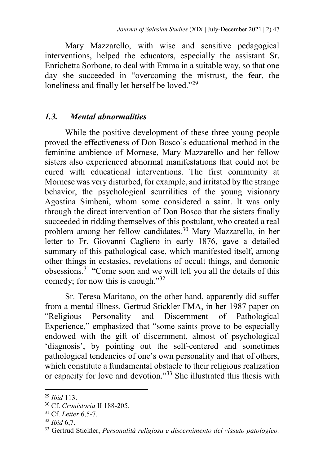Mary Mazzarello, with wise and sensitive pedagogical interventions, helped the educators, especially the assistant Sr. Enrichetta Sorbone, to deal with Emma in a suitable way, so that one day she succeeded in "overcoming the mistrust, the fear, the loneliness and finally let herself be loved."<sup>29</sup>

# *1.3. Mental abnormalities*

While the positive development of these three young people proved the effectiveness of Don Bosco's educational method in the feminine ambience of Mornese, Mary Mazzarello and her fellow sisters also experienced abnormal manifestations that could not be cured with educational interventions. The first community at Mornese was very disturbed, for example, and irritated by the strange behavior, the psychological scurrilities of the young visionary Agostina Simbeni, whom some considered a saint. It was only through the direct intervention of Don Bosco that the sisters finally succeeded in ridding themselves of this postulant, who created a real problem among her fellow candidates.<sup>30</sup> Mary Mazzarello, in her letter to Fr. Giovanni Cagliero in early 1876, gave a detailed summary of this pathological case, which manifested itself, among other things in ecstasies, revelations of occult things, and demonic obsessions.<sup>31</sup> "Come soon and we will tell you all the details of this comedy; for now this is enough."<sup>32</sup>

Sr. Teresa Maritano, on the other hand, apparently did suffer from a mental illness. Gertrud Stickler FMA, in her 1987 paper on "Religious Personality and Discernment of Pathological Experience," emphasized that "some saints prove to be especially endowed with the gift of discernment, almost of psychological 'diagnosis', by pointing out the self-centered and sometimes pathological tendencies of one's own personality and that of others, which constitute a fundamental obstacle to their religious realization or capacity for love and devotion."<sup>33</sup> She illustrated this thesis with

 $\ddot{\phantom{a}}$ 

<sup>29</sup> *Ibid* 113.

<sup>30</sup> Cf. *Cronistoria* II 188-205.

<sup>31</sup> Cf. *Letter* 6,5-7.

<sup>32</sup> *Ibid* 6,7.

<sup>33</sup> Gertrud Stickler, *Personalità religiosa e discernimento del vissuto patologico.*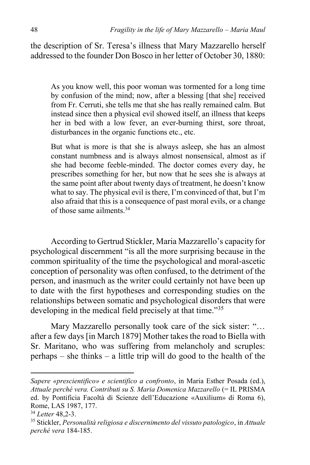the description of Sr. Teresa's illness that Mary Mazzarello herself addressed to the founder Don Bosco in her letter of October 30, 1880:

As you know well, this poor woman was tormented for a long time by confusion of the mind; now, after a blessing [that she] received from Fr. Cerruti, she tells me that she has really remained calm. But instead since then a physical evil showed itself, an illness that keeps her in bed with a low fever, an ever-burning thirst, sore throat, disturbances in the organic functions etc., etc.

But what is more is that she is always asleep, she has an almost constant numbness and is always almost nonsensical, almost as if she had become feeble-minded. The doctor comes every day, he prescribes something for her, but now that he sees she is always at the same point after about twenty days of treatment, he doesn't know what to say. The physical evil is there, I'm convinced of that, but I'm also afraid that this is a consequence of past moral evils, or a change of those same ailments.<sup>34</sup>

According to Gertrud Stickler, Maria Mazzarello's capacity for psychological discernment "is all the more surprising because in the common spirituality of the time the psychological and moral-ascetic conception of personality was often confused, to the detriment of the person, and inasmuch as the writer could certainly not have been up to date with the first hypotheses and corresponding studies on the relationships between somatic and psychological disorders that were developing in the medical field precisely at that time."<sup>35</sup>

Mary Mazzarello personally took care of the sick sister: "… after a few days [in March 1879] Mother takes the road to Biella with Sr. Maritano, who was suffering from melancholy and scruples: perhaps – she thinks – a little trip will do good to the health of the

*Sapere «prescientifico» e scientifico a confronto*, in Maria Esther Posada (ed.), *Attuale perché vera. Contributi su S. Maria Domenica Mazzarello* (= IL PRISMA ed. by Pontificia Facoltà di Scienze dell'Educazione «Auxilium» di Roma 6), Rome, LAS 1987, 177.

<sup>34</sup> *Letter* 48,2-3.

<sup>35</sup> Stickler, *Personalità religiosa e discernimento del vissuto patologico*, in *Attuale perché vera* 184-185.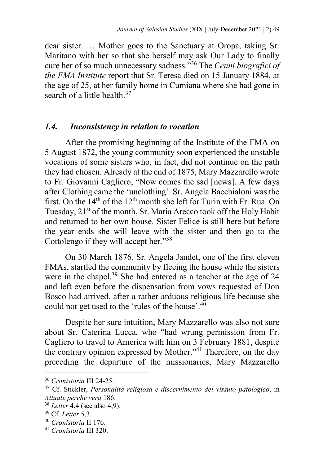dear sister. … Mother goes to the Sanctuary at Oropa, taking Sr. Maritano with her so that she herself may ask Our Lady to finally cure her of so much unnecessary sadness."<sup>36</sup> The *Cenni biografici of the FMA Institute* report that Sr. Teresa died on 15 January 1884, at the age of 25, at her family home in Cumiana where she had gone in search of a little health. $37$ 

#### *1.4. Inconsistency in relation to vocation*

After the promising beginning of the Institute of the FMA on 5 August 1872, the young community soon experienced the unstable vocations of some sisters who, in fact, did not continue on the path they had chosen. Already at the end of 1875, Mary Mazzarello wrote to Fr. Giovanni Cagliero, "Now comes the sad [news]. A few days after Clothing came the 'unclothing'. Sr. Angela Bacchialoni was the first. On the  $14<sup>th</sup>$  of the  $12<sup>th</sup>$  month she left for Turin with Fr. Rua. On Tuesday, 21<sup>st</sup> of the month, Sr. Maria Arecco took off the Holy Habit and returned to her own house. Sister Felice is still here but before the year ends she will leave with the sister and then go to the Cottolengo if they will accept her."<sup>38</sup>

On 30 March 1876, Sr. Angela Jandet, one of the first eleven FMAs, startled the community by fleeing the house while the sisters were in the chapel.<sup>39</sup> She had entered as a teacher at the age of 24 and left even before the dispensation from vows requested of Don Bosco had arrived, after a rather arduous religious life because she could not get used to the 'rules of the house'.<sup>40</sup>

Despite her sure intuition, Mary Mazzarello was also not sure about Sr. Caterina Lucca, who "had wrung permission from Fr. Cagliero to travel to America with him on 3 February 1881, despite the contrary opinion expressed by Mother."<sup>41</sup> Therefore, on the day preceding the departure of the missionaries, Mary Mazzarello

<sup>36</sup> *Cronistoria* III 24-25.

<sup>37</sup> Cf. Stickler, *Personalità religiosa e discernimento del vissuto patologico*, in *Attuale perché vera* 186.

<sup>38</sup> *Letter* 4,4 (see also 4,9).

<sup>39</sup> Cf. *Letter* 5,3.

<sup>40</sup> *Cronistoria* II 176.

<sup>41</sup> *Cronistoria* III 320.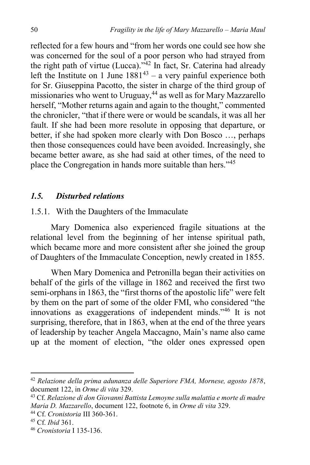reflected for a few hours and "from her words one could see how she was concerned for the soul of a poor person who had strayed from the right path of virtue (Lucca)."<sup>42</sup> In fact, Sr. Caterina had already left the Institute on 1 June  $1881^{43}$  – a very painful experience both for Sr. Giuseppina Pacotto, the sister in charge of the third group of missionaries who went to Uruguay,<sup>44</sup> as well as for Mary Mazzarello herself, "Mother returns again and again to the thought," commented the chronicler, "that if there were or would be scandals, it was all her fault. If she had been more resolute in opposing that departure, or better, if she had spoken more clearly with Don Bosco …, perhaps then those consequences could have been avoided. Increasingly, she became better aware, as she had said at other times, of the need to place the Congregation in hands more suitable than hers."<sup>45</sup>

## *1.5. Disturbed relations*

#### 1.5.1. With the Daughters of the Immaculate

Mary Domenica also experienced fragile situations at the relational level from the beginning of her intense spiritual path, which became more and more consistent after she joined the group of Daughters of the Immaculate Conception, newly created in 1855.

When Mary Domenica and Petronilla began their activities on behalf of the girls of the village in 1862 and received the first two semi-orphans in 1863, the "first thorns of the apostolic life" were felt by them on the part of some of the older FMI, who considered "the innovations as exaggerations of independent minds."<sup>46</sup> It is not surprising, therefore, that in 1863, when at the end of the three years of leadership by teacher Angela Maccagno, Maín's name also came up at the moment of election, "the older ones expressed open

<sup>42</sup> *Relazione della prima adunanza delle Superiore FMA, Mornese, agosto 1878*, document 122, in *Orme di vita* 329.

<sup>43</sup> Cf. *Relazione di don Giovanni Battista Lemoyne sulla malattia e morte di madre Maria D. Mazzarello*, document 122, footnote 6, in *Orme di vita* 329.

<sup>44</sup> Cf. *Cronistoria* III 360-361.

<sup>45</sup> Cf. *Ibid* 361.

<sup>46</sup> *Cronistoria* I 135-136.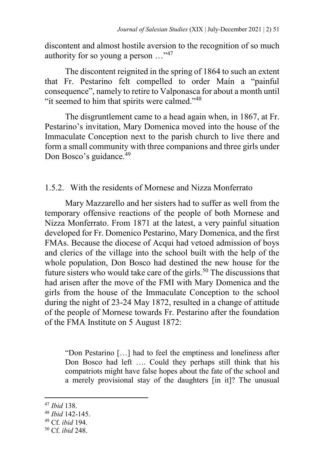discontent and almost hostile aversion to the recognition of so much authority for so young a person …"<sup>47</sup>

The discontent reignited in the spring of 1864 to such an extent that Fr. Pestarino felt compelled to order Maín a "painful consequence", namely to retire to Valponasca for about a month until "it seemed to him that spirits were calmed."<sup>48</sup>

The disgruntlement came to a head again when, in 1867, at Fr. Pestarino's invitation, Mary Domenica moved into the house of the Immaculate Conception next to the parish church to live there and form a small community with three companions and three girls under Don Bosco's guidance.<sup>49</sup>

1.5.2. With the residents of Mornese and Nizza Monferrato

Mary Mazzarello and her sisters had to suffer as well from the temporary offensive reactions of the people of both Mornese and Nizza Monferrato. From 1871 at the latest, a very painful situation developed for Fr. Domenico Pestarino, Mary Domenica, and the first FMAs. Because the diocese of Acqui had vetoed admission of boys and clerics of the village into the school built with the help of the whole population, Don Bosco had destined the new house for the future sisters who would take care of the girls.<sup>50</sup> The discussions that had arisen after the move of the FMI with Mary Domenica and the girls from the house of the Immaculate Conception to the school during the night of 23-24 May 1872, resulted in a change of attitude of the people of Mornese towards Fr. Pestarino after the foundation of the FMA Institute on 5 August 1872:

"Don Pestarino […] had to feel the emptiness and loneliness after Don Bosco had left …. Could they perhaps still think that his compatriots might have false hopes about the fate of the school and a merely provisional stay of the daughters [in it]? The unusual

<sup>47</sup> *Ibid* 138.

<sup>48</sup> *Ibid* 142-145.

<sup>49</sup> Cf. *ibid* 194.

<sup>50</sup> Cf. *ibid* 248.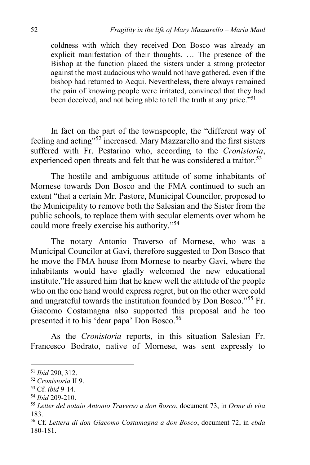coldness with which they received Don Bosco was already an explicit manifestation of their thoughts. … The presence of the Bishop at the function placed the sisters under a strong protector against the most audacious who would not have gathered, even if the bishop had returned to Acqui. Nevertheless, there always remained the pain of knowing people were irritated, convinced that they had been deceived, and not being able to tell the truth at any price."<sup>51</sup>

In fact on the part of the townspeople, the "different way of feeling and acting"<sup>52</sup> increased. Mary Mazzarello and the first sisters suffered with Fr. Pestarino who, according to the *Cronistoria*, experienced open threats and felt that he was considered a traitor.<sup>53</sup>

The hostile and ambiguous attitude of some inhabitants of Mornese towards Don Bosco and the FMA continued to such an extent "that a certain Mr. Pastore, Municipal Councilor, proposed to the Municipality to remove both the Salesian and the Sister from the public schools, to replace them with secular elements over whom he could more freely exercise his authority."<sup>54</sup>

The notary Antonio Traverso of Mornese, who was a Municipal Councilor at Gavi, therefore suggested to Don Bosco that he move the FMA house from Mornese to nearby Gavi, where the inhabitants would have gladly welcomed the new educational institute."He assured him that he knew well the attitude of the people who on the one hand would express regret, but on the other were cold and ungrateful towards the institution founded by Don Bosco."<sup>55</sup> Fr. Giacomo Costamagna also supported this proposal and he too presented it to his 'dear papa' Don Bosco.<sup>56</sup>

As the *Cronistoria* reports, in this situation Salesian Fr. Francesco Bodrato, native of Mornese, was sent expressly to

 $\ddot{\phantom{a}}$ 

<sup>51</sup> *Ibid* 290, 312.

<sup>52</sup> *Cronistoria* II 9.

<sup>53</sup> Cf. *ibid* 9-14.

<sup>54</sup> *Ibid* 209-210.

<sup>55</sup> *Letter del notaio Antonio Traverso a don Bosco*, document 73, in *Orme di vita*  183.

<sup>56</sup> Cf. *Lettera di don Giacomo Costamagna a don Bosco*, document 72, in *ebda*  180-181.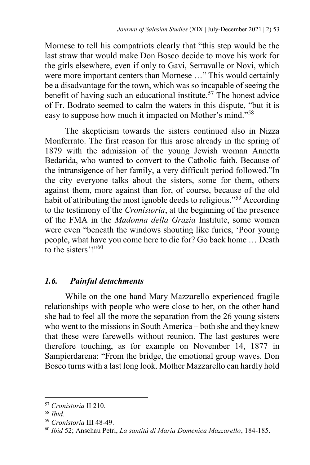Mornese to tell his compatriots clearly that "this step would be the last straw that would make Don Bosco decide to move his work for the girls elsewhere, even if only to Gavi, Serravalle or Novi, which were more important centers than Mornese …" This would certainly be a disadvantage for the town, which was so incapable of seeing the benefit of having such an educational institute.<sup>57</sup> The honest advice of Fr. Bodrato seemed to calm the waters in this dispute, "but it is easy to suppose how much it impacted on Mother's mind."<sup>58</sup>

The skepticism towards the sisters continued also in Nizza Monferrato. The first reason for this arose already in the spring of 1879 with the admission of the young Jewish woman Annetta Bedarida, who wanted to convert to the Catholic faith. Because of the intransigence of her family, a very difficult period followed."In the city everyone talks about the sisters, some for them, others against them, more against than for, of course, because of the old habit of attributing the most ignoble deeds to religious."<sup>59</sup> According to the testimony of the *Cronistoria*, at the beginning of the presence of the FMA in the *Madonna della Grazia* Institute, some women were even "beneath the windows shouting like furies, 'Poor young people, what have you come here to die for? Go back home … Death to the sisters'!"<sup>60</sup>

# *1.6. Painful detachments*

While on the one hand Mary Mazzarello experienced fragile relationships with people who were close to her, on the other hand she had to feel all the more the separation from the 26 young sisters who went to the missions in South America – both she and they knew that these were farewells without reunion. The last gestures were therefore touching, as for example on November 14, 1877 in Sampierdarena: "From the bridge, the emotional group waves. Don Bosco turns with a last long look. Mother Mazzarello can hardly hold

<sup>57</sup> *Cronistoria* II 210.

<sup>58</sup> *Ibid*.

<sup>59</sup> *Cronistoria* III 48-49.

<sup>60</sup> *Ibid* 52; Anschau Petri, *La santità di Maria Domenica Mazzarello*, 184-185.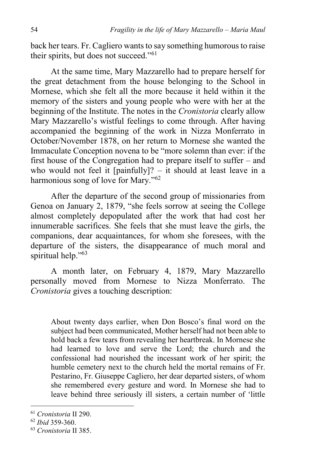back her tears. Fr. Cagliero wants to say something humorous to raise their spirits, but does not succeed."<sup>61</sup>

At the same time, Mary Mazzarello had to prepare herself for the great detachment from the house belonging to the School in Mornese, which she felt all the more because it held within it the memory of the sisters and young people who were with her at the beginning of the Institute. The notes in the *Cronistoria* clearly allow Mary Mazzarello's wistful feelings to come through. After having accompanied the beginning of the work in Nizza Monferrato in October/November 1878, on her return to Mornese she wanted the Immaculate Conception novena to be "more solemn than ever: if the first house of the Congregation had to prepare itself to suffer – and who would not feel it  $\lceil$  painfully $\rceil$ ? – it should at least leave in a harmonious song of love for Mary."<sup>62</sup>

After the departure of the second group of missionaries from Genoa on January 2, 1879, "she feels sorrow at seeing the College almost completely depopulated after the work that had cost her innumerable sacrifices. She feels that she must leave the girls, the companions, dear acquaintances, for whom she foresees, with the departure of the sisters, the disappearance of much moral and spiritual help."<sup>63</sup>

A month later, on February 4, 1879, Mary Mazzarello personally moved from Mornese to Nizza Monferrato. The *Cronistoria* gives a touching description:

About twenty days earlier, when Don Bosco's final word on the subject had been communicated, Mother herself had not been able to hold back a few tears from revealing her heartbreak. In Mornese she had learned to love and serve the Lord; the church and the confessional had nourished the incessant work of her spirit; the humble cemetery next to the church held the mortal remains of Fr. Pestarino, Fr. Giuseppe Cagliero, her dear departed sisters, of whom she remembered every gesture and word. In Mornese she had to leave behind three seriously ill sisters, a certain number of 'little

<sup>61</sup> *Cronistoria* II 290.

<sup>62</sup> *Ibid* 359-360.

<sup>63</sup> *Cronistoria* II 385.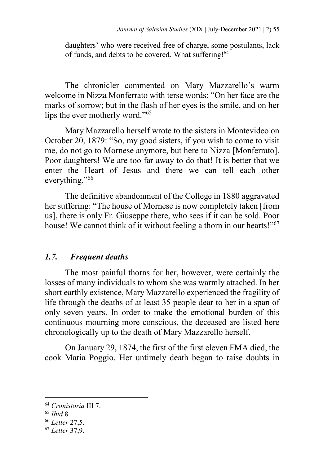daughters' who were received free of charge, some postulants, lack of funds, and debts to be covered. What suffering!<sup>64</sup>

The chronicler commented on Mary Mazzarello's warm welcome in Nizza Monferrato with terse words: "On her face are the marks of sorrow; but in the flash of her eyes is the smile, and on her lips the ever motherly word."<sup>65</sup>

Mary Mazzarello herself wrote to the sisters in Montevideo on October 20, 1879: "So, my good sisters, if you wish to come to visit me, do not go to Mornese anymore, but here to Nizza [Monferrato]. Poor daughters! We are too far away to do that! It is better that we enter the Heart of Jesus and there we can tell each other everything."<sup>66</sup>

The definitive abandonment of the College in 1880 aggravated her suffering: "The house of Mornese is now completely taken [from us], there is only Fr. Giuseppe there, who sees if it can be sold. Poor house! We cannot think of it without feeling a thorn in our hearts!"<sup>67</sup>

# *1.7. Frequent deaths*

The most painful thorns for her, however, were certainly the losses of many individuals to whom she was warmly attached. In her short earthly existence, Mary Mazzarello experienced the fragility of life through the deaths of at least 35 people dear to her in a span of only seven years. In order to make the emotional burden of this continuous mourning more conscious, the deceased are listed here chronologically up to the death of Mary Mazzarello herself.

On January 29, 1874, the first of the first eleven FMA died, the cook Maria Poggio. Her untimely death began to raise doubts in

<sup>64</sup> *Cronistoria* III 7.

<sup>65</sup> *Ibid* 8.

<sup>66</sup> *Letter* 27,5.

<sup>67</sup> *Letter* 37,9.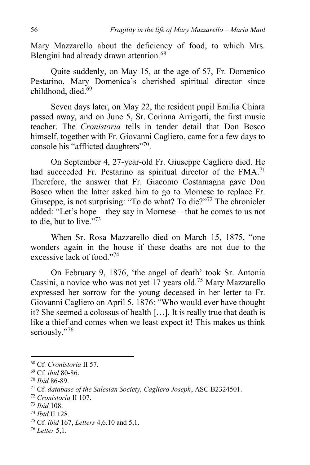Mary Mazzarello about the deficiency of food, to which Mrs. Blengini had already drawn attention.<sup>68</sup>

Quite suddenly, on May 15, at the age of 57, Fr. Domenico Pestarino, Mary Domenica's cherished spiritual director since childhood, died. 69

Seven days later, on May 22, the resident pupil Emilia Chiara passed away, and on June 5, Sr. Corinna Arrigotti, the first music teacher. The *Cronistoria* tells in tender detail that Don Bosco himself, together with Fr. Giovanni Cagliero, came for a few days to console his "afflicted daughters"<sup>70</sup>.

On September 4, 27-year-old Fr. Giuseppe Cagliero died. He had succeeded Fr. Pestarino as spiritual director of the FMA.<sup>71</sup> Therefore, the answer that Fr. Giacomo Costamagna gave Don Bosco when the latter asked him to go to Mornese to replace Fr. Giuseppe, is not surprising: "To do what? To die?"<sup>72</sup> The chronicler added: "Let's hope – they say in Mornese – that he comes to us not to die, but to live."<sup>73</sup>

When Sr. Rosa Mazzarello died on March 15, 1875, "one wonders again in the house if these deaths are not due to the excessive lack of food."<sup>74</sup>

On February 9, 1876, 'the angel of death' took Sr. Antonia Cassini, a novice who was not yet 17 years old.<sup>75</sup> Mary Mazzarello expressed her sorrow for the young deceased in her letter to Fr. Giovanni Cagliero on April 5, 1876: "Who would ever have thought it? She seemed a colossus of health […]. It is really true that death is like a thief and comes when we least expect it! This makes us think seriously."76

<sup>68</sup> Cf. *Cronistoria* II 57.

<sup>69</sup> Cf. *ibid* 80-86.

<sup>70</sup> *Ibid* 86-89.

<sup>71</sup> Cf. *database of the Salesian Society, Cagliero Joseph*, ASC B2324501.

<sup>72</sup> *Cronistoria* II 107.

<sup>73</sup> *Ibid* 108.

<sup>74</sup> *Ibid* II 128.

<sup>75</sup> Cf. *ibid* 167, *Letters* 4,6.10 and 5,1.

<sup>76</sup> *Letter* 5,1.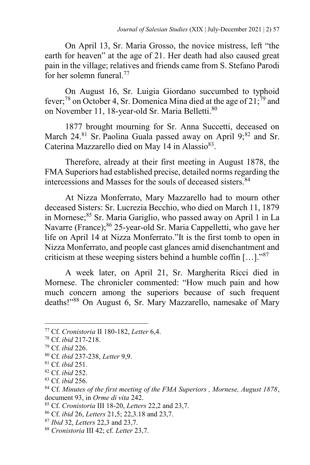On April 13, Sr. Maria Grosso, the novice mistress, left "the earth for heaven" at the age of 21. Her death had also caused great pain in the village; relatives and friends came from S. Stefano Parodi for her solemn funeral.<sup>77</sup>

On August 16, Sr. Luigia Giordano succumbed to typhoid fever;<sup>78</sup> on October 4, Sr. Domenica Mina died at the age of  $21$ ;<sup>79</sup> and on November 11, 18-year-old Sr. Maria Belletti.<sup>80</sup>

1877 brought mourning for Sr. Anna Succetti, deceased on March 24.<sup>81</sup> Sr. Paolina Guala passed away on April  $9:^{82}$  and Sr. Caterina Mazzarello died on May 14 in Alassio<sup>83</sup>.

Therefore, already at their first meeting in August 1878, the FMA Superiors had established precise, detailed norms regarding the intercessions and Masses for the souls of deceased sisters.<sup>84</sup>

At Nizza Monferrato, Mary Mazzarello had to mourn other deceased Sisters: Sr. Lucrezia Becchio, who died on March 11, 1879 in Mornese;<sup>85</sup> Sr. Maria Gariglio, who passed away on April 1 in La Navarre (France);<sup>86</sup> 25-year-old Sr. Maria Cappelletti, who gave her life on April 14 at Nizza Monferrato."It is the first tomb to open in Nizza Monferrato, and people cast glances amid disenchantment and criticism at these weeping sisters behind a humble coffin  $[\dots]$ ."<sup>87</sup>

A week later, on April 21, Sr. Margherita Ricci died in Mornese. The chronicler commented: "How much pain and how much concern among the superiors because of such frequent deaths!"<sup>88</sup> On August 6, Sr. Mary Mazzarello, namesake of Mary

<sup>77</sup> Cf. *Cronistoria* II 180-182, *Letter* 6,4.

<sup>78</sup> Cf. *ibid* 217-218.

<sup>79</sup> Cf. *ibid* 226.

<sup>80</sup> Cf. *ibid* 237-238, *Letter* 9,9.

<sup>81</sup> Cf. *ibid* 251.

<sup>82</sup> Cf. *ibid* 252.

<sup>83</sup> Cf. *ibid* 256.

<sup>84</sup> Cf. *Minutes of the first meeting of the FMA Superiors , Mornese, August 1878*, document 93, in *Orme di vita* 242.

<sup>85</sup> Cf. *Cronistoria* III 18-20, *Letters* 22,2 and 23,7.

<sup>86</sup> Cf. *ibid* 26, *Letters* 21,5; 22,3.18 and 23,7.

<sup>87</sup> *Ibid* 32, *Letters* 22,3 and 23,7.

<sup>88</sup> *Cronistoria* III 42; cf. *Letter* 23,7.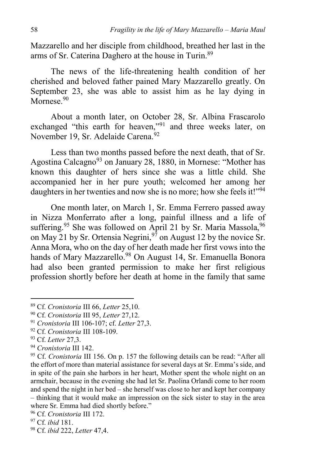Mazzarello and her disciple from childhood, breathed her last in the arms of Sr. Caterina Daghero at the house in Turin.<sup>89</sup>

The news of the life-threatening health condition of her cherished and beloved father pained Mary Mazzarello greatly. On September 23, she was able to assist him as he lay dying in  $M$ ornese.  $90$ 

About a month later, on October 28, Sr. Albina Frascarolo exchanged "this earth for heaven,"<sup>91</sup> and three weeks later, on November 19, Sr. Adelaide Carena.<sup>92</sup>

Less than two months passed before the next death, that of Sr. Agostina Calcagno<sup>93</sup> on January 28, 1880, in Mornese: "Mother has known this daughter of hers since she was a little child. She accompanied her in her pure youth; welcomed her among her daughters in her twenties and now she is no more; how she feels it!"<sup>94</sup>

One month later, on March 1, Sr. Emma Ferrero passed away in Nizza Monferrato after a long, painful illness and a life of suffering.<sup>95</sup> She was followed on April 21 by Sr. Maria Massola, <sup>96</sup> on May 21 by Sr. Ortensia Negrini,<sup>97</sup> on August 12 by the novice Sr. Anna Mora, who on the day of her death made her first vows into the hands of Mary Mazzarello.<sup>98</sup> On August 14, Sr. Emanuella Bonora had also been granted permission to make her first religious profession shortly before her death at home in the family that same

- <sup>92</sup> Cf. *Cronistoria* III 108-109.
- <sup>93</sup> Cf. *Letter* 27,3.

1

<sup>94</sup> *Cronistoria* III 142.

<sup>89</sup> Cf. *Cronistoria* III 66, *Letter* 25,10.

<sup>90</sup> Cf. *Cronistoria* III 95, *Letter* 27,12.

<sup>91</sup> *Cronistoria* III 106-107; cf. *Letter* 27,3.

<sup>95</sup> Cf. *Cronistoria* III 156. On p. 157 the following details can be read: "After all the effort of more than material assistance for several days at Sr. Emma's side, and in spite of the pain she harbors in her heart, Mother spent the whole night on an armchair, because in the evening she had let Sr. Paolina Orlandi come to her room and spend the night in her bed – she herself was close to her and kept her company – thinking that it would make an impression on the sick sister to stay in the area where Sr. Emma had died shortly before."

<sup>96</sup> Cf. *Cronistoria* III 172.

<sup>97</sup> Cf. *ibid* 181.

<sup>98</sup> Cf. *ibid* 222, *Letter* 47,4.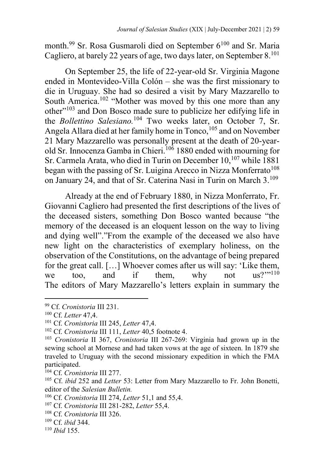month.<sup>99</sup> Sr. Rosa Gusmaroli died on September 6<sup>100</sup> and Sr. Maria Cagliero, at barely 22 years of age, two days later, on September 8.<sup>101</sup>

On September 25, the life of 22-year-old Sr. Virginia Magone ended in Montevideo-Villa Colón – she was the first missionary to die in Uruguay. She had so desired a visit by Mary Mazzarello to South America.<sup>102</sup> "Mother was moved by this one more than any other"<sup>103</sup> and Don Bosco made sure to publicize her edifying life in the *Bollettino Salesiano.*<sup>104</sup> Two weeks later, on October 7, Sr. Angela Allara died at her family home in Tonco,<sup>105</sup> and on November 21 Mary Mazzarello was personally present at the death of 20-yearold Sr. Innocenza Gamba in Chieri.<sup>106</sup> 1880 ended with mourning for Sr. Carmela Arata, who died in Turin on December 10,<sup>107</sup> while 1881 began with the passing of Sr. Luigina Arecco in Nizza Monferrato<sup>108</sup> on January 24, and that of Sr. Caterina Nasi in Turin on March 3.<sup>109</sup>

Already at the end of February 1880, in Nizza Monferrato, Fr. Giovanni Cagliero had presented the first descriptions of the lives of the deceased sisters, something Don Bosco wanted because "the memory of the deceased is an eloquent lesson on the way to living and dying well"."From the example of the deceased we also have new light on the characteristics of exemplary holiness, on the observation of the Constitutions, on the advantage of being prepared for the great call. [...] Whoever comes after us will say: 'Like them,<br>we too and if them, why not us?''<sup>110</sup> we too, and if them, why not us?"<sup>110</sup> The editors of Mary Mazzarello's letters explain in summary the

- <sup>106</sup> Cf. *Cronistoria* III 274, *Letter* 51,1 and 55,4.
- <sup>107</sup> Cf. *Cronistoria* III 281-282, *Letter* 55,4.
- <sup>108</sup> Cf. *Cronistoria* III 326.
- <sup>109</sup> Cf. *ibid* 344.

<sup>99</sup> Cf. *Cronistoria* III 231.

<sup>100</sup> Cf. *Letter* 47,4.

<sup>101</sup> Cf. *Cronistoria* III 245, *Letter* 47,4.

<sup>102</sup> Cf. *Cronistoria* III 111, *Letter* 40,5 footnote 4.

<sup>103</sup> *Cronistoria* II 367, *Cronistoria* III 267-269: Virginia had grown up in the sewing school at Mornese and had taken vows at the age of sixteen. In 1879 she traveled to Uruguay with the second missionary expedition in which the FMA participated.

<sup>104</sup> Cf. *Cronistoria* III 277.

<sup>105</sup> Cf. *ibid* 252 and *Letter* 53: Letter from Mary Mazzarello to Fr. John Bonetti, editor of the *Salesian Bulletin.*

<sup>110</sup> *Ibid* 155.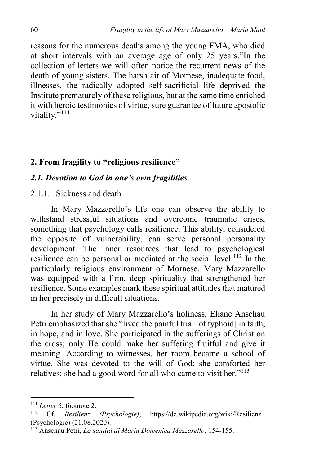reasons for the numerous deaths among the young FMA, who died at short intervals with an average age of only 25 years."In the collection of letters we will often notice the recurrent news of the death of young sisters. The harsh air of Mornese, inadequate food, illnesses, the radically adopted self-sacrificial life deprived the Institute prematurely of these religious, but at the same time enriched it with heroic testimonies of virtue, sure guarantee of future apostolic vitality."<sup>111</sup>

## **2. From fragility to "religious resilience"**

#### *2.1. Devotion to God in one's own fragilities*

2.1.1. Sickness and death

In Mary Mazzarello's life one can observe the ability to withstand stressful situations and overcome traumatic crises, something that psychology calls resilience. This ability, considered the opposite of vulnerability, can serve personal personality development. The inner resources that lead to psychological resilience can be personal or mediated at the social level.<sup>112</sup> In the particularly religious environment of Mornese, Mary Mazzarello was equipped with a firm, deep spirituality that strengthened her resilience. Some examples mark these spiritual attitudes that matured in her precisely in difficult situations.

In her study of Mary Mazzarello's holiness, Eliane Anschau Petri emphasized that she "lived the painful trial [of typhoid] in faith, in hope, and in love. She participated in the sufferings of Christ on the cross; only He could make her suffering fruitful and give it meaning. According to witnesses, her room became a school of virtue. She was devoted to the will of God; she comforted her relatives; she had a good word for all who came to visit her."<sup>113</sup>

<sup>&</sup>lt;sup>111</sup> *Letter* 5, footnote 2.<br><sup>112</sup> *Cf Position* 

<sup>112</sup> Cf. *Resilienz (Psychologie)*, https://de.wikipedia.org/wiki/Resilienz\_ (Psychologie) (21.08.2020).

<sup>113</sup> Anschau Petri, *La santità di Maria Domenica Mazzarello*, 154-155.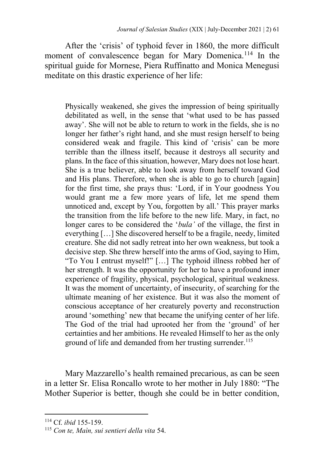After the 'crisis' of typhoid fever in 1860, the more difficult moment of convalescence began for Mary Domenica.<sup>114</sup> In the spiritual guide for Mornese, Piera Ruffinatto and Monica Menegusi meditate on this drastic experience of her life:

Physically weakened, she gives the impression of being spiritually debilitated as well, in the sense that 'what used to be has passed away'. She will not be able to return to work in the fields, she is no longer her father's right hand, and she must resign herself to being considered weak and fragile. This kind of 'crisis' can be more terrible than the illness itself, because it destroys all security and plans. In the face of this situation, however, Mary does not lose heart. She is a true believer, able to look away from herself toward God and His plans. Therefore, when she is able to go to church [again] for the first time, she prays thus: 'Lord, if in Your goodness You would grant me a few more years of life, let me spend them unnoticed and, except by You, forgotten by all.' This prayer marks the transition from the life before to the new life. Mary, in fact, no longer cares to be considered the '*bula'* of the village, the first in everything […] She discovered herself to be a fragile, needy, limited creature. She did not sadly retreat into her own weakness, but took a decisive step. She threw herself into the arms of God, saying to Him, "To You I entrust myself!" […] The typhoid illness robbed her of her strength. It was the opportunity for her to have a profound inner experience of fragility, physical, psychological, spiritual weakness. It was the moment of uncertainty, of insecurity, of searching for the ultimate meaning of her existence. But it was also the moment of conscious acceptance of her creaturely poverty and reconstruction around 'something' new that became the unifying center of her life. The God of the trial had uprooted her from the 'ground' of her certainties and her ambitions. He revealed Himself to her as the only ground of life and demanded from her trusting surrender.<sup>115</sup>

Mary Mazzarello's health remained precarious, as can be seen in a letter Sr. Elisa Roncallo wrote to her mother in July 1880: "The Mother Superior is better, though she could be in better condition,

<sup>114</sup> Cf. *ibid* 155-159.

<sup>115</sup> *Con te, Maìn, sui sentieri della vita* 54.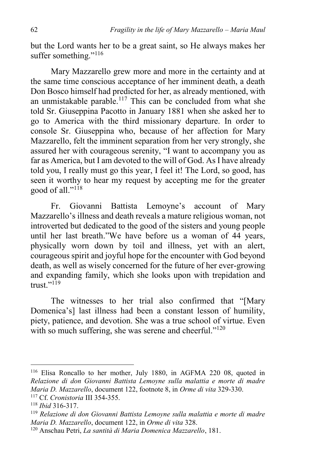but the Lord wants her to be a great saint, so He always makes her suffer something."<sup>116</sup>

Mary Mazzarello grew more and more in the certainty and at the same time conscious acceptance of her imminent death, a death Don Bosco himself had predicted for her, as already mentioned, with an unmistakable parable.<sup>117</sup> This can be concluded from what she told Sr. Giuseppina Pacotto in January 1881 when she asked her to go to America with the third missionary departure. In order to console Sr. Giuseppina who, because of her affection for Mary Mazzarello, felt the imminent separation from her very strongly, she assured her with courageous serenity, "I want to accompany you as far as America, but I am devoted to the will of God. As I have already told you, I really must go this year, I feel it! The Lord, so good, has seen it worthy to hear my request by accepting me for the greater good of all." $^{118}$ 

Fr. Giovanni Battista Lemoyne's account of Mary Mazzarello's illness and death reveals a mature religious woman, not introverted but dedicated to the good of the sisters and young people until her last breath."We have before us a woman of 44 years, physically worn down by toil and illness, yet with an alert, courageous spirit and joyful hope for the encounter with God beyond death, as well as wisely concerned for the future of her ever-growing and expanding family, which she looks upon with trepidation and  $t$ rust $"$ <sup>119</sup>

The witnesses to her trial also confirmed that "[Mary Domenica's] last illness had been a constant lesson of humility, piety, patience, and devotion. She was a true school of virtue. Even with so much suffering, she was serene and cheerful." $120$ 

<sup>116</sup> Elisa Roncallo to her mother, July 1880, in AGFMA 220 08, quoted in *Relazione di don Giovanni Battista Lemoyne sulla malattia e morte di madre Maria D. Mazzarello*, document 122, footnote 8, in *Orme di vita* 329-330. <sup>117</sup> Cf. *Cronistoria* III 354-355.

<sup>118</sup> *Ibid* 316-317.

<sup>119</sup> *Relazione di don Giovanni Battista Lemoyne sulla malattia e morte di madre Maria D. Mazzarello*, document 122, in *Orme di vita* 328.

<sup>120</sup> Anschau Petri, *La santità di Maria Domenica Mazzarello*, 181.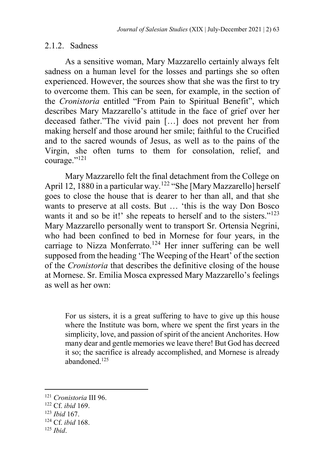#### 2.1.2. Sadness

As a sensitive woman, Mary Mazzarello certainly always felt sadness on a human level for the losses and partings she so often experienced. However, the sources show that she was the first to try to overcome them. This can be seen, for example, in the section of the *Cronistoria* entitled "From Pain to Spiritual Benefit", which describes Mary Mazzarello's attitude in the face of grief over her deceased father."The vivid pain […] does not prevent her from making herself and those around her smile; faithful to the Crucified and to the sacred wounds of Jesus, as well as to the pains of the Virgin, she often turns to them for consolation, relief, and courage."<sup>121</sup>

Mary Mazzarello felt the final detachment from the College on April 12, 1880 in a particular way.<sup>122</sup> "She [Mary Mazzarello] herself goes to close the house that is dearer to her than all, and that she wants to preserve at all costs. But … 'this is the way Don Bosco wants it and so be it!' she repeats to herself and to the sisters."<sup>123</sup> Mary Mazzarello personally went to transport Sr. Ortensia Negrini, who had been confined to bed in Mornese for four years, in the carriage to Nizza Monferrato.<sup>124</sup> Her inner suffering can be well supposed from the heading 'The Weeping of the Heart' of the section of the *Cronistoria* that describes the definitive closing of the house at Mornese. Sr. Emilia Mosca expressed Mary Mazzarello's feelings as well as her own:

For us sisters, it is a great suffering to have to give up this house where the Institute was born, where we spent the first years in the simplicity, love, and passion of spirit of the ancient Anchorites. How many dear and gentle memories we leave there! But God has decreed it so; the sacrifice is already accomplished, and Mornese is already abandoned.<sup>125</sup>

<sup>121</sup> *Cronistoria* III 96.

<sup>122</sup> Cf. *ibid* 169.

<sup>123</sup> *Ibid* 167.

<sup>124</sup> Cf. *ibid* 168.

<sup>125</sup> *Ibid*.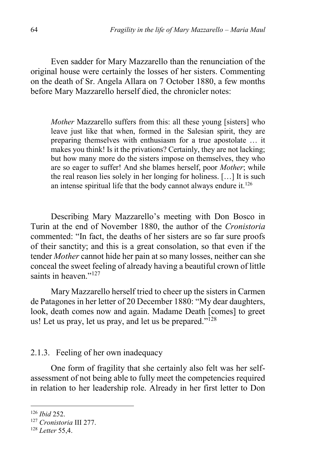Even sadder for Mary Mazzarello than the renunciation of the original house were certainly the losses of her sisters. Commenting on the death of Sr. Angela Allara on 7 October 1880, a few months before Mary Mazzarello herself died, the chronicler notes:

*Mother* Mazzarello suffers from this: all these young [sisters] who leave just like that when, formed in the Salesian spirit, they are preparing themselves with enthusiasm for a true apostolate … it makes you think! Is it the privations? Certainly, they are not lacking; but how many more do the sisters impose on themselves, they who are so eager to suffer! And she blames herself, poor *Mother*; while the real reason lies solely in her longing for holiness. […] It is such an intense spiritual life that the body cannot always endure it. $126$ 

Describing Mary Mazzarello's meeting with Don Bosco in Turin at the end of November 1880, the author of the *Cronistoria*  commented: "In fact, the deaths of her sisters are so far sure proofs of their sanctity; and this is a great consolation, so that even if the tender *Mother* cannot hide her pain at so many losses, neither can she conceal the sweet feeling of already having a beautiful crown of little saints in heaven."<sup>127</sup>

Mary Mazzarello herself tried to cheer up the sisters in Carmen de Patagones in her letter of 20 December 1880: "My dear daughters, look, death comes now and again. Madame Death [comes] to greet us! Let us pray, let us pray, and let us be prepared."<sup>128</sup>

#### 2.1.3. Feeling of her own inadequacy

One form of fragility that she certainly also felt was her selfassessment of not being able to fully meet the competencies required in relation to her leadership role. Already in her first letter to Don

<sup>126</sup> *Ibid* 252.

<sup>127</sup> *Cronistoria* III 277.

<sup>128</sup> *Letter* 55,4.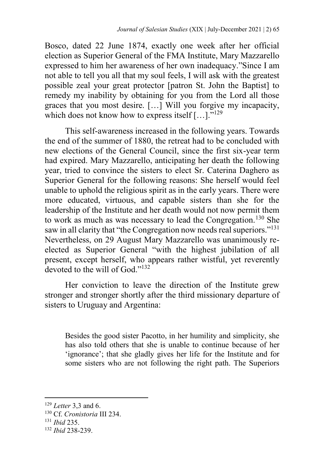Bosco, dated 22 June 1874, exactly one week after her official election as Superior General of the FMA Institute, Mary Mazzarello expressed to him her awareness of her own inadequacy."Since I am not able to tell you all that my soul feels, I will ask with the greatest possible zeal your great protector [patron St. John the Baptist] to remedy my inability by obtaining for you from the Lord all those graces that you most desire. […] Will you forgive my incapacity, which does not know how to express itself [...]."<sup>129</sup>

This self-awareness increased in the following years. Towards the end of the summer of 1880, the retreat had to be concluded with new elections of the General Council, since the first six-year term had expired. Mary Mazzarello, anticipating her death the following year, tried to convince the sisters to elect Sr. Caterina Daghero as Superior General for the following reasons: She herself would feel unable to uphold the religious spirit as in the early years. There were more educated, virtuous, and capable sisters than she for the leadership of the Institute and her death would not now permit them to work as much as was necessary to lead the Congregation.<sup>130</sup> She saw in all clarity that "the Congregation now needs real superiors."<sup>131</sup> Nevertheless, on 29 August Mary Mazzarello was unanimously reelected as Superior General "with the highest jubilation of all present, except herself, who appears rather wistful, yet reverently devoted to the will of God."<sup>132</sup>

Her conviction to leave the direction of the Institute grew stronger and stronger shortly after the third missionary departure of sisters to Uruguay and Argentina:

Besides the good sister Pacotto, in her humility and simplicity, she has also told others that she is unable to continue because of her 'ignorance'; that she gladly gives her life for the Institute and for some sisters who are not following the right path. The Superiors

<sup>129</sup> *Letter* 3,3 and 6.

<sup>130</sup> Cf. *Cronistoria* III 234.

<sup>131</sup> *Ibid* 235.

<sup>132</sup> *Ibid* 238-239.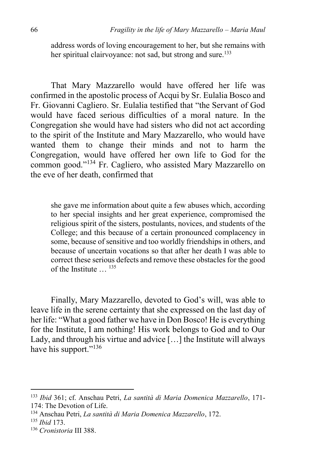address words of loving encouragement to her, but she remains with her spiritual clairvoyance: not sad, but strong and sure.<sup>133</sup>

That Mary Mazzarello would have offered her life was confirmed in the apostolic process of Acqui by Sr. Eulalia Bosco and Fr. Giovanni Cagliero. Sr. Eulalia testified that "the Servant of God would have faced serious difficulties of a moral nature. In the Congregation she would have had sisters who did not act according to the spirit of the Institute and Mary Mazzarello, who would have wanted them to change their minds and not to harm the Congregation, would have offered her own life to God for the common good."<sup>134</sup> Fr. Cagliero, who assisted Mary Mazzarello on the eve of her death, confirmed that

she gave me information about quite a few abuses which, according to her special insights and her great experience, compromised the religious spirit of the sisters, postulants, novices, and students of the College; and this because of a certain pronounced complacency in some, because of sensitive and too worldly friendships in others, and because of uncertain vocations so that after her death I was able to correct these serious defects and remove these obstacles for the good of the Institute … <sup>135</sup>

Finally, Mary Mazzarello, devoted to God's will, was able to leave life in the serene certainty that she expressed on the last day of her life: "What a good father we have in Don Bosco! He is everything for the Institute, I am nothing! His work belongs to God and to Our Lady, and through his virtue and advice […] the Institute will always have his support."<sup>136</sup>

<sup>133</sup> *Ibid* 361; cf. Anschau Petri, *La santità di Maria Domenica Mazzarello*, 171- 174: The Devotion of Life.

<sup>134</sup> Anschau Petri, *La santità di Maria Domenica Mazzarello*, 172.

<sup>135</sup> *Ibid* 173.

<sup>136</sup> *Cronistoria* III 388.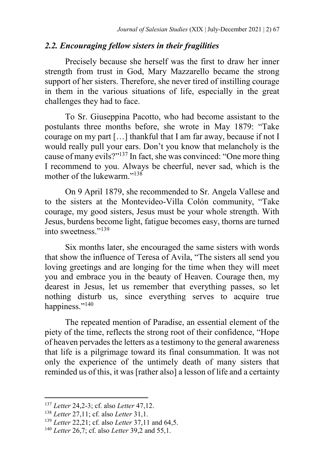## *2.2. Encouraging fellow sisters in their fragilities*

Precisely because she herself was the first to draw her inner strength from trust in God, Mary Mazzarello became the strong support of her sisters. Therefore, she never tired of instilling courage in them in the various situations of life, especially in the great challenges they had to face.

To Sr. Giuseppina Pacotto, who had become assistant to the postulants three months before, she wrote in May 1879: "Take courage on my part […] thankful that I am far away, because if not I would really pull your ears. Don't you know that melancholy is the cause of many evils?"<sup>137</sup> In fact, she was convinced: "One more thing I recommend to you. Always be cheerful, never sad, which is the mother of the lukewarm."<sup>138</sup>

On 9 April 1879, she recommended to Sr. Angela Vallese and to the sisters at the Montevideo-Villa Colón community, "Take courage, my good sisters, Jesus must be your whole strength. With Jesus, burdens become light, fatigue becomes easy, thorns are turned into sweetness<sup>"139</sup>

Six months later, she encouraged the same sisters with words that show the influence of Teresa of Avila, "The sisters all send you loving greetings and are longing for the time when they will meet you and embrace you in the beauty of Heaven. Courage then, my dearest in Jesus, let us remember that everything passes, so let nothing disturb us, since everything serves to acquire true happiness."<sup>140</sup>

The repeated mention of Paradise, an essential element of the piety of the time, reflects the strong root of their confidence, "Hope of heaven pervades the letters as a testimony to the general awareness that life is a pilgrimage toward its final consummation. It was not only the experience of the untimely death of many sisters that reminded us of this, it was [rather also] a lesson of life and a certainty

<sup>137</sup> *Letter* 24,2-3; cf. also *Letter* 47,12.

<sup>138</sup> *Letter* 27,11; cf. also *Letter* 31,1.

<sup>139</sup> *Letter* 22,21; cf. also *Letter* 37,11 and 64,5.

<sup>140</sup> *Letter* 26,7; cf. also *Letter* 39,2 and 55,1.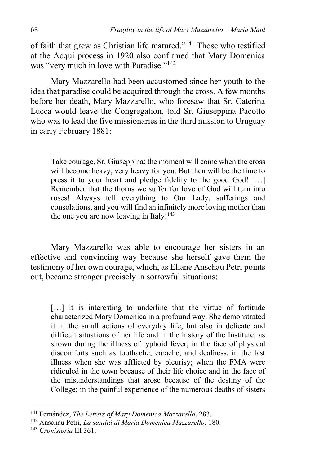of faith that grew as Christian life matured."<sup>141</sup> Those who testified at the Acqui process in 1920 also confirmed that Mary Domenica was "very much in love with Paradise."<sup>142</sup>

Mary Mazzarello had been accustomed since her youth to the idea that paradise could be acquired through the cross. A few months before her death, Mary Mazzarello, who foresaw that Sr. Caterina Lucca would leave the Congregation, told Sr. Giuseppina Pacotto who was to lead the five missionaries in the third mission to Uruguay in early February 1881:

Take courage, Sr. Giuseppina; the moment will come when the cross will become heavy, very heavy for you. But then will be the time to press it to your heart and pledge fidelity to the good God! […] Remember that the thorns we suffer for love of God will turn into roses! Always tell everything to Our Lady, sufferings and consolations, and you will find an infinitely more loving mother than the one you are now leaving in Italy! $143$ 

Mary Mazzarello was able to encourage her sisters in an effective and convincing way because she herself gave them the testimony of her own courage, which, as Eliane Anschau Petri points out, became stronger precisely in sorrowful situations:

[...] it is interesting to underline that the virtue of fortitude characterized Mary Domenica in a profound way. She demonstrated it in the small actions of everyday life, but also in delicate and difficult situations of her life and in the history of the Institute: as shown during the illness of typhoid fever; in the face of physical discomforts such as toothache, earache, and deafness, in the last illness when she was afflicted by pleurisy; when the FMA were ridiculed in the town because of their life choice and in the face of the misunderstandings that arose because of the destiny of the College; in the painful experience of the numerous deaths of sisters

<sup>141</sup> Fernández, *The Letters of Mary Domenica Mazzarello*, 283.

<sup>142</sup> Anschau Petri, *La santità di Maria Domenica Mazzarello*, 180.

<sup>143</sup> *Cronistoria* III 361.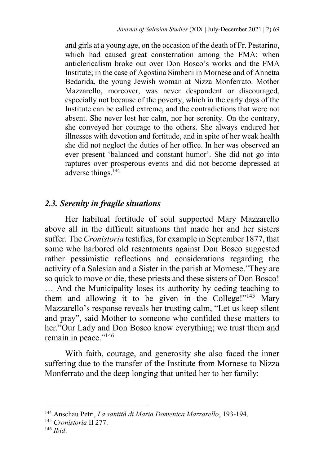and girls at a young age, on the occasion of the death of Fr. Pestarino, which had caused great consternation among the FMA; when anticlericalism broke out over Don Bosco's works and the FMA Institute; in the case of Agostina Simbeni in Mornese and of Annetta Bedarida, the young Jewish woman at Nizza Monferrato. Mother Mazzarello, moreover, was never despondent or discouraged, especially not because of the poverty, which in the early days of the Institute can be called extreme, and the contradictions that were not absent. She never lost her calm, nor her serenity. On the contrary, she conveyed her courage to the others. She always endured her illnesses with devotion and fortitude, and in spite of her weak health she did not neglect the duties of her office. In her was observed an ever present 'balanced and constant humor'. She did not go into raptures over prosperous events and did not become depressed at adverse things.<sup>144</sup>

## *2.3. Serenity in fragile situations*

Her habitual fortitude of soul supported Mary Mazzarello above all in the difficult situations that made her and her sisters suffer. The *Cronistoria* testifies, for example in September 1877, that some who harbored old resentments against Don Bosco suggested rather pessimistic reflections and considerations regarding the activity of a Salesian and a Sister in the parish at Mornese."They are so quick to move or die, these priests and these sisters of Don Bosco! … And the Municipality loses its authority by ceding teaching to them and allowing it to be given in the College!"<sup>145</sup> Mary Mazzarello's response reveals her trusting calm, "Let us keep silent and pray", said Mother to someone who confided these matters to her."Our Lady and Don Bosco know everything; we trust them and remain in peace."<sup>146</sup>

With faith, courage, and generosity she also faced the inner suffering due to the transfer of the Institute from Mornese to Nizza Monferrato and the deep longing that united her to her family:

<sup>144</sup> Anschau Petri, *La santità di Maria Domenica Mazzarello*, 193-194.

<sup>145</sup> *Cronistoria* II 277.

<sup>146</sup> *Ibid*.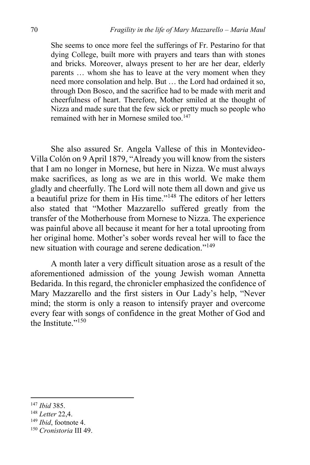She seems to once more feel the sufferings of Fr. Pestarino for that dying College, built more with prayers and tears than with stones and bricks. Moreover, always present to her are her dear, elderly parents … whom she has to leave at the very moment when they need more consolation and help. But … the Lord had ordained it so, through Don Bosco, and the sacrifice had to be made with merit and cheerfulness of heart. Therefore, Mother smiled at the thought of Nizza and made sure that the few sick or pretty much so people who remained with her in Mornese smiled too.<sup>147</sup>

She also assured Sr. Angela Vallese of this in Montevideo-Villa Colón on 9 April 1879, "Already you will know from the sisters that I am no longer in Mornese, but here in Nizza. We must always make sacrifices, as long as we are in this world. We make them gladly and cheerfully. The Lord will note them all down and give us a beautiful prize for them in His time."<sup>148</sup> The editors of her letters also stated that "Mother Mazzarello suffered greatly from the transfer of the Motherhouse from Mornese to Nizza. The experience was painful above all because it meant for her a total uprooting from her original home. Mother's sober words reveal her will to face the new situation with courage and serene dedication."<sup>149</sup>

A month later a very difficult situation arose as a result of the aforementioned admission of the young Jewish woman Annetta Bedarida. In this regard, the chronicler emphasized the confidence of Mary Mazzarello and the first sisters in Our Lady's help, "Never mind; the storm is only a reason to intensify prayer and overcome every fear with songs of confidence in the great Mother of God and the Institute<sup>"150</sup>

<sup>147</sup> *Ibid* 385.

<sup>148</sup> *Letter* 22,4.

<sup>149</sup> *Ibid*, footnote 4.

<sup>150</sup> *Cronistoria* III 49.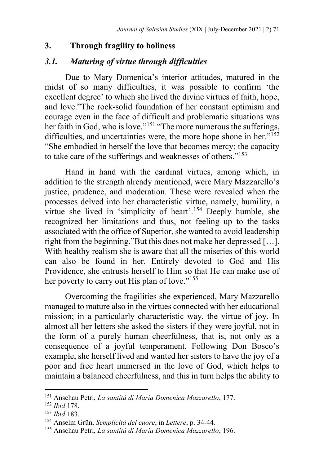## **3. Through fragility to holiness**

## *3.1. Maturing of virtue through difficulties*

Due to Mary Domenica's interior attitudes, matured in the midst of so many difficulties, it was possible to confirm 'the excellent degree' to which she lived the divine virtues of faith, hope, and love."The rock-solid foundation of her constant optimism and courage even in the face of difficult and problematic situations was her faith in God, who is love."<sup>151</sup> "The more numerous the sufferings, difficulties, and uncertainties were, the more hope shone in her. $v^{152}$ "She embodied in herself the love that becomes mercy; the capacity to take care of the sufferings and weaknesses of others."<sup>153</sup>

Hand in hand with the cardinal virtues, among which, in addition to the strength already mentioned, were Mary Mazzarello's justice, prudence, and moderation. These were revealed when the processes delved into her characteristic virtue, namely, humility, a virtue she lived in 'simplicity of heart'.<sup>154</sup> Deeply humble, she recognized her limitations and thus, not feeling up to the tasks associated with the office of Superior, she wanted to avoid leadership right from the beginning."But this does not make her depressed […]. With healthy realism she is aware that all the miseries of this world can also be found in her. Entirely devoted to God and His Providence, she entrusts herself to Him so that He can make use of her poverty to carry out His plan of love."<sup>155</sup>

Overcoming the fragilities she experienced, Mary Mazzarello managed to mature also in the virtues connected with her educational mission; in a particularly characteristic way, the virtue of joy. In almost all her letters she asked the sisters if they were joyful, not in the form of a purely human cheerfulness, that is, not only as a consequence of a joyful temperament. Following Don Bosco's example, she herself lived and wanted her sisters to have the joy of a poor and free heart immersed in the love of God, which helps to maintain a balanced cheerfulness, and this in turn helps the ability to

<sup>151</sup> Anschau Petri, *La santità di Maria Domenica Mazzarello*, 177.

<sup>152</sup> *Ibid* 178.

<sup>153</sup> *Ibid* 183.

<sup>154</sup> Anselm Grün, *Semplicità del cuore*, in *Lettere*, p. 34-44.

<sup>155</sup> Anschau Petri, *La santità di Maria Domenica Mazzarello*, 196.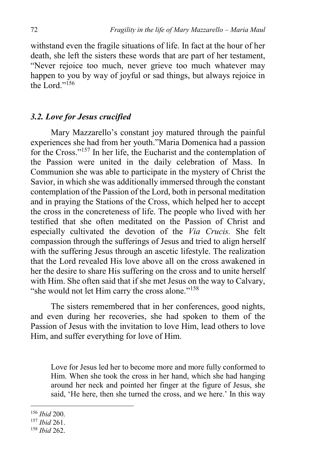withstand even the fragile situations of life. In fact at the hour of her death, she left the sisters these words that are part of her testament, "Never rejoice too much, never grieve too much whatever may happen to you by way of joyful or sad things, but always rejoice in the Lord<sup>"156</sup>

## *3.2. Love for Jesus crucified*

Mary Mazzarello's constant joy matured through the painful experiences she had from her youth."Maria Domenica had a passion for the Cross."<sup>157</sup> In her life, the Eucharist and the contemplation of the Passion were united in the daily celebration of Mass. In Communion she was able to participate in the mystery of Christ the Savior, in which she was additionally immersed through the constant contemplation of the Passion of the Lord, both in personal meditation and in praying the Stations of the Cross, which helped her to accept the cross in the concreteness of life. The people who lived with her testified that she often meditated on the Passion of Christ and especially cultivated the devotion of the *Via Crucis.* She felt compassion through the sufferings of Jesus and tried to align herself with the suffering Jesus through an ascetic lifestyle. The realization that the Lord revealed His love above all on the cross awakened in her the desire to share His suffering on the cross and to unite herself with Him. She often said that if she met Jesus on the way to Calvary, "she would not let Him carry the cross alone."<sup>158</sup>

The sisters remembered that in her conferences, good nights, and even during her recoveries, she had spoken to them of the Passion of Jesus with the invitation to love Him, lead others to love Him, and suffer everything for love of Him.

Love for Jesus led her to become more and more fully conformed to Him. When she took the cross in her hand, which she had hanging around her neck and pointed her finger at the figure of Jesus, she said, 'He here, then she turned the cross, and we here.' In this way

<sup>156</sup> *Ibid* 200.

<sup>157</sup> *Ibid* 261.

<sup>158</sup> *Ibid* 262.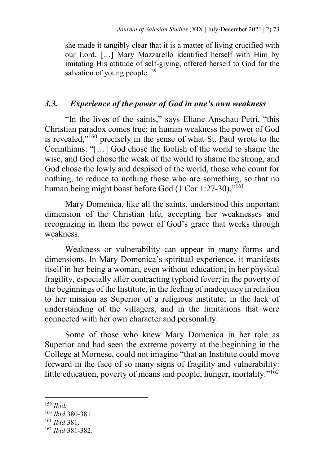she made it tangibly clear that it is a matter of living crucified with our Lord. […] Mary Mazzarello identified herself with Him by imitating His attitude of self-giving, offered herself to God for the salvation of young people.<sup>159</sup>

# *3.3. Experience of the power of God in one's own weakness*

"In the lives of the saints," says Eliane Anschau Petri, "this Christian paradox comes true: in human weakness the power of God is revealed,"<sup>160</sup> precisely in the sense of what St. Paul wrote to the Corinthians: "[…] God chose the foolish of the world to shame the wise, and God chose the weak of the world to shame the strong, and God chose the lowly and despised of the world, those who count for nothing, to reduce to nothing those who are something, so that no human being might boast before God (1 Cor 1:27-30)."<sup>161</sup>

Mary Domenica, like all the saints, understood this important dimension of the Christian life, accepting her weaknesses and recognizing in them the power of God's grace that works through weakness.

Weakness or vulnerability can appear in many forms and dimensions. In Mary Domenica's spiritual experience, it manifests itself in her being a woman, even without education; in her physical fragility, especially after contracting typhoid fever; in the poverty of the beginnings of the Institute, in the feeling of inadequacy in relation to her mission as Superior of a religious institute; in the lack of understanding of the villagers, and in the limitations that were connected with her own character and personality.

Some of those who knew Mary Domenica in her role as Superior and had seen the extreme poverty at the beginning in the College at Mornese, could not imagine "that an Institute could move forward in the face of so many signs of fragility and vulnerability: little education, poverty of means and people, hunger, mortality."<sup>162</sup>

<sup>159</sup> *Ibid.*

<sup>160</sup> *Ibid* 380-381.

<sup>161</sup> *Ibid* 381.

<sup>162</sup> *Ibid* 381-382.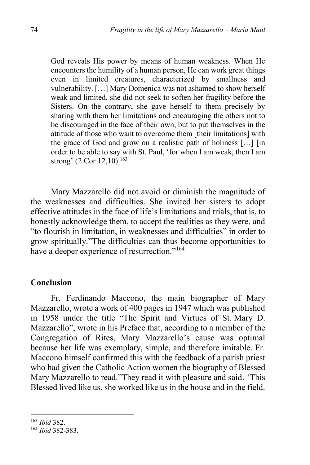God reveals His power by means of human weakness. When He encounters the humility of a human person, He can work great things even in limited creatures, characterized by smallness and vulnerability. […] Mary Domenica was not ashamed to show herself weak and limited, she did not seek to soften her fragility before the Sisters. On the contrary, she gave herself to them precisely by sharing with them her limitations and encouraging the others not to be discouraged in the face of their own, but to put themselves in the attitude of those who want to overcome them [their limitations] with the grace of God and grow on a realistic path of holiness […] [in order to be able to say with St. Paul, 'for when I am weak, then I am strong' (2 Cor 12,10).<sup>163</sup>

Mary Mazzarello did not avoid or diminish the magnitude of the weaknesses and difficulties. She invited her sisters to adopt effective attitudes in the face of life's limitations and trials, that is, to honestly acknowledge them, to accept the realities as they were, and "to flourish in limitation, in weaknesses and difficulties" in order to grow spiritually."The difficulties can thus become opportunities to have a deeper experience of resurrection."<sup>164</sup>

#### **Conclusion**

Fr. Ferdinando Maccono, the main biographer of Mary Mazzarello, wrote a work of 400 pages in 1947 which was published in 1958 under the title "The Spirit and Virtues of St. Mary D. Mazzarello", wrote in his Preface that, according to a member of the Congregation of Rites, Mary Mazzarello's cause was optimal because her life was exemplary, simple, and therefore imitable. Fr. Maccono himself confirmed this with the feedback of a parish priest who had given the Catholic Action women the biography of Blessed Mary Mazzarello to read."They read it with pleasure and said, 'This Blessed lived like us, she worked like us in the house and in the field.

<sup>163</sup> *Ibid* 382.

<sup>164</sup> *Ibid* 382-383.